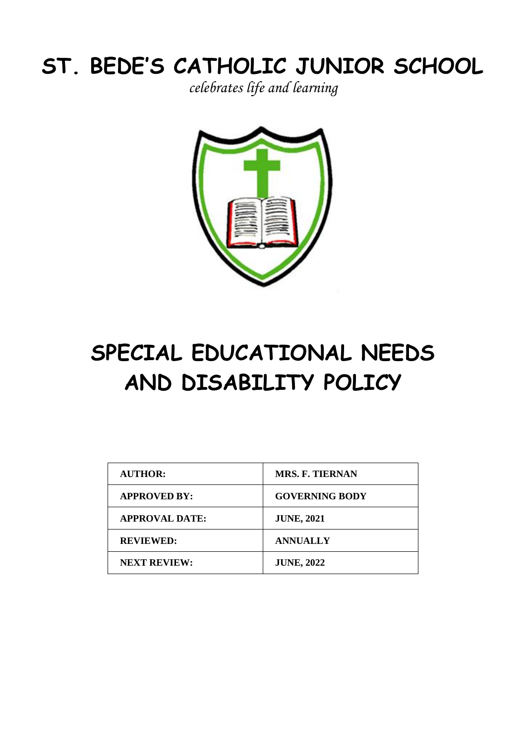# **ST. BEDE'S CATHOLIC JUNIOR SCHOOL**

*celebrates life and learning*



# **SPECIAL EDUCATIONAL NEEDS AND DISABILITY POLICY**

| <b>AUTHOR:</b>        | <b>MRS. F. TIERNAN</b> |
|-----------------------|------------------------|
| <b>APPROVED BY:</b>   | <b>GOVERNING BODY</b>  |
| <b>APPROVAL DATE:</b> | <b>JUNE, 2021</b>      |
| <b>REVIEWED:</b>      | <b>ANNUALLY</b>        |
| <b>NEXT REVIEW:</b>   | <b>JUNE, 2022</b>      |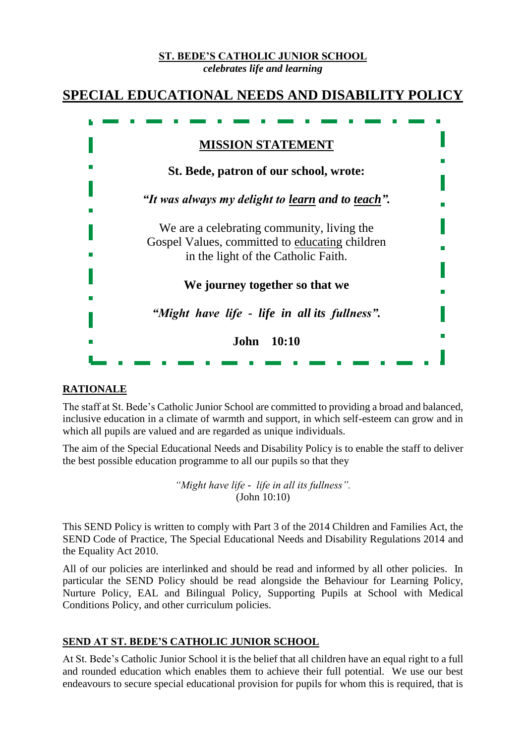# **ST. BEDE'S CATHOLIC JUNIOR SCHOOL**

*celebrates life and learning*



#### **RATIONALE**

The staff at St. Bede's Catholic Junior School are committed to providing a broad and balanced, inclusive education in a climate of warmth and support, in which self-esteem can grow and in which all pupils are valued and are regarded as unique individuals.

The aim of the Special Educational Needs and Disability Policy is to enable the staff to deliver the best possible education programme to all our pupils so that they

> *"Might have life - life in all its fullness".* (John 10:10)

This SEND Policy is written to comply with Part 3 of the 2014 Children and Families Act, the SEND Code of Practice, [The Special Educational Needs and Disability Regulations 2014](http://www.legislation.gov.uk/uksi/2014/1530/contents/made) and the Equality Act 2010.

All of our policies are interlinked and should be read and informed by all other policies. In particular the SEND Policy should be read alongside the Behaviour for Learning Policy, Nurture Policy, EAL and Bilingual Policy, Supporting Pupils at School with Medical Conditions Policy, and other curriculum policies.

#### **SEND AT ST. BEDE'S CATHOLIC JUNIOR SCHOOL**

At St. Bede's Catholic Junior School it is the belief that all children have an equal right to a full and rounded education which enables them to achieve their full potential. We use our best endeavours to secure special educational provision for pupils for whom this is required, that is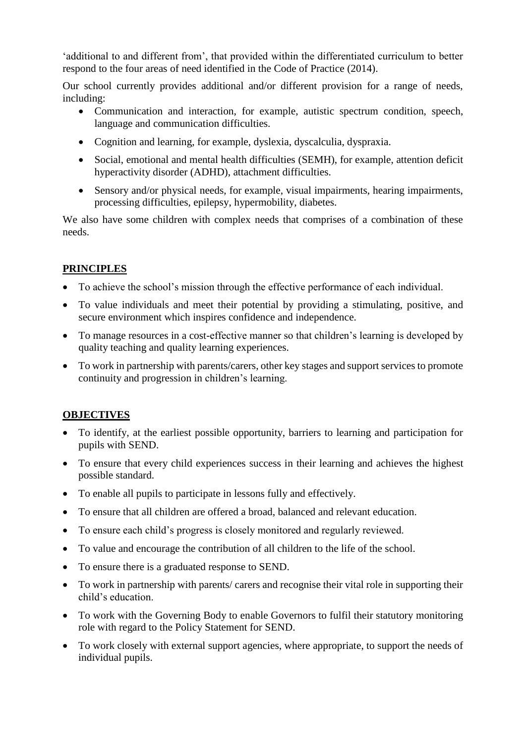'additional to and different from', that provided within the differentiated curriculum to better respond to the four areas of need identified in the Code of Practice (2014).

Our school currently provides additional and/or different provision for a range of needs, including:

- Communication and interaction, for example, autistic spectrum condition, speech, language and communication difficulties.
- Cognition and learning, for example, dyslexia, dyscalculia, dyspraxia.
- Social, emotional and mental health difficulties (SEMH), for example, attention deficit hyperactivity disorder (ADHD), attachment difficulties.
- Sensory and/or physical needs, for example, visual impairments, hearing impairments, processing difficulties, epilepsy, hypermobility, diabetes.

We also have some children with complex needs that comprises of a combination of these needs.

# **PRINCIPLES**

- To achieve the school's mission through the effective performance of each individual.
- To value individuals and meet their potential by providing a stimulating, positive, and secure environment which inspires confidence and independence.
- To manage resources in a cost-effective manner so that children's learning is developed by quality teaching and quality learning experiences.
- To work in partnership with parents/carers, other key stages and support services to promote continuity and progression in children's learning.

# **OBJECTIVES**

- To identify, at the earliest possible opportunity, barriers to learning and participation for pupils with SEND.
- To ensure that every child experiences success in their learning and achieves the highest possible standard.
- To enable all pupils to participate in lessons fully and effectively.
- To ensure that all children are offered a broad, balanced and relevant education.
- To ensure each child's progress is closely monitored and regularly reviewed.
- To value and encourage the contribution of all children to the life of the school.
- To ensure there is a graduated response to SEND.
- To work in partnership with parents/ carers and recognise their vital role in supporting their child's education.
- To work with the Governing Body to enable Governors to fulfil their statutory monitoring role with regard to the Policy Statement for SEND.
- To work closely with external support agencies, where appropriate, to support the needs of individual pupils.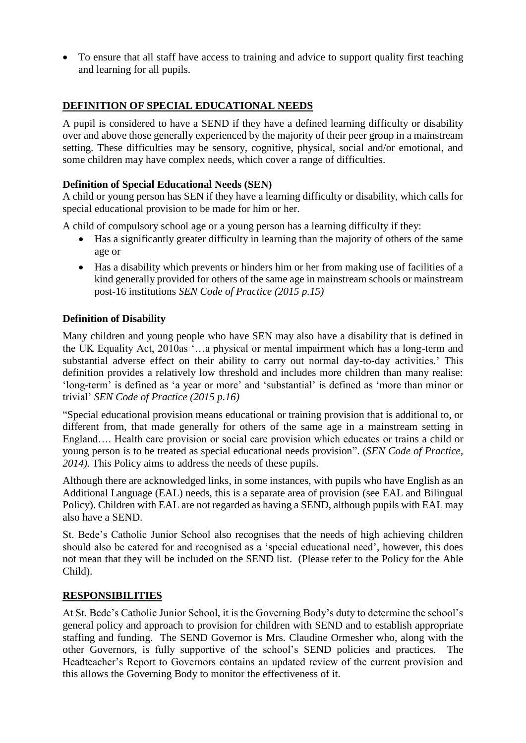• To ensure that all staff have access to training and advice to support quality first teaching and learning for all pupils.

# **DEFINITION OF SPECIAL EDUCATIONAL NEEDS**

A pupil is considered to have a SEND if they have a defined learning difficulty or disability over and above those generally experienced by the majority of their peer group in a mainstream setting. These difficulties may be sensory, cognitive, physical, social and/or emotional, and some children may have complex needs, which cover a range of difficulties.

#### **Definition of Special Educational Needs (SEN)**

A child or young person has SEN if they have a learning difficulty or disability, which calls for special educational provision to be made for him or her.

A child of compulsory school age or a young person has a learning difficulty if they:

- Has a significantly greater difficulty in learning than the majority of others of the same age or
- Has a disability which prevents or hinders him or her from making use of facilities of a kind generally provided for others of the same age in mainstream schools or mainstream post-16 institutions *SEN Code of Practice (2015 p.15)*

#### **Definition of Disability**

Many children and young people who have SEN may also have a disability that is defined in the UK Equality Act, 2010as '…a physical or mental impairment which has a long-term and substantial adverse effect on their ability to carry out normal day-to-day activities.' This definition provides a relatively low threshold and includes more children than many realise: 'long-term' is defined as 'a year or more' and 'substantial' is defined as 'more than minor or trivial' *SEN Code of Practice (2015 p.16)* 

"Special educational provision means educational or training provision that is additional to, or different from, that made generally for others of the same age in a mainstream setting in England…. Health care provision or social care provision which educates or trains a child or young person is to be treated as special educational needs provision". (*SEN Code of Practice, 2014).* This Policy aims to address the needs of these pupils.

Although there are acknowledged links, in some instances, with pupils who have English as an Additional Language (EAL) needs, this is a separate area of provision (see EAL and Bilingual Policy). Children with EAL are not regarded as having a SEND, although pupils with EAL may also have a SEND.

St. Bede's Catholic Junior School also recognises that the needs of high achieving children should also be catered for and recognised as a 'special educational need', however, this does not mean that they will be included on the SEND list. (Please refer to the Policy for the Able Child).

#### **RESPONSIBILITIES**

At St. Bede's Catholic Junior School, it is the Governing Body's duty to determine the school's general policy and approach to provision for children with SEND and to establish appropriate staffing and funding. The SEND Governor is Mrs. Claudine Ormesher who, along with the other Governors, is fully supportive of the school's SEND policies and practices. The Headteacher's Report to Governors contains an updated review of the current provision and this allows the Governing Body to monitor the effectiveness of it.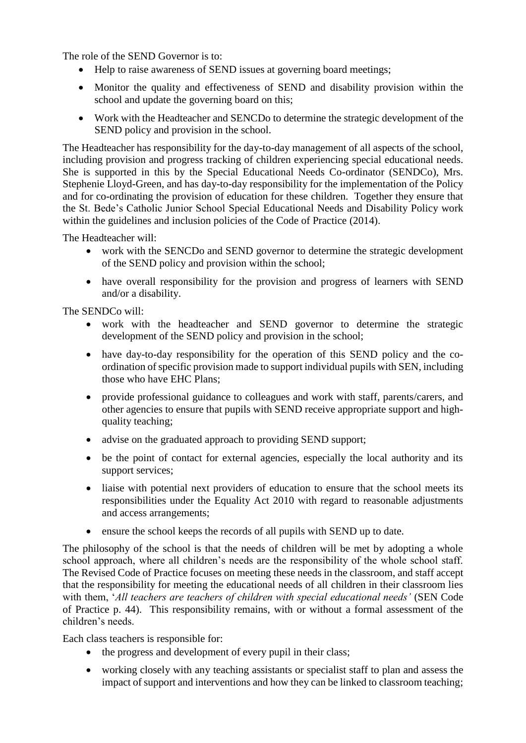The role of the SEND Governor is to:

- Help to raise awareness of SEND issues at governing board meetings;
- Monitor the quality and effectiveness of SEND and disability provision within the school and update the governing board on this;
- Work with the Headteacher and SENCDo to determine the strategic development of the SEND policy and provision in the school.

The Headteacher has responsibility for the day-to-day management of all aspects of the school, including provision and progress tracking of children experiencing special educational needs. She is supported in this by the Special Educational Needs Co-ordinator (SENDCo), Mrs. Stephenie Lloyd-Green, and has day-to-day responsibility for the implementation of the Policy and for co-ordinating the provision of education for these children. Together they ensure that the St. Bede's Catholic Junior School Special Educational Needs and Disability Policy work within the guidelines and inclusion policies of the Code of Practice (2014).

The Headteacher will:

- work with the SENCDo and SEND governor to determine the strategic development of the SEND policy and provision within the school;
- have overall responsibility for the provision and progress of learners with SEND and/or a disability.

The SENDCo will:

- work with the headteacher and SEND governor to determine the strategic development of the SEND policy and provision in the school;
- have day-to-day responsibility for the operation of this SEND policy and the coordination of specific provision made to support individual pupils with SEN, including those who have EHC Plans;
- provide professional guidance to colleagues and work with staff, parents/carers, and other agencies to ensure that pupils with SEND receive appropriate support and highquality teaching;
- advise on the graduated approach to providing SEND support;
- be the point of contact for external agencies, especially the local authority and its support services;
- liaise with potential next providers of education to ensure that the school meets its responsibilities under the Equality Act 2010 with regard to reasonable adjustments and access arrangements;
- ensure the school keeps the records of all pupils with SEND up to date.

The philosophy of the school is that the needs of children will be met by adopting a whole school approach, where all children's needs are the responsibility of the whole school staff. The Revised Code of Practice focuses on meeting these needs in the classroom, and staff accept that the responsibility for meeting the educational needs of all children in their classroom lies with them, '*All teachers are teachers of children with special educational needs'* (SEN Code of Practice p. 44). This responsibility remains, with or without a formal assessment of the children's needs.

Each class teachers is responsible for:

- the progress and development of every pupil in their class;
- working closely with any teaching assistants or specialist staff to plan and assess the impact of support and interventions and how they can be linked to classroom teaching;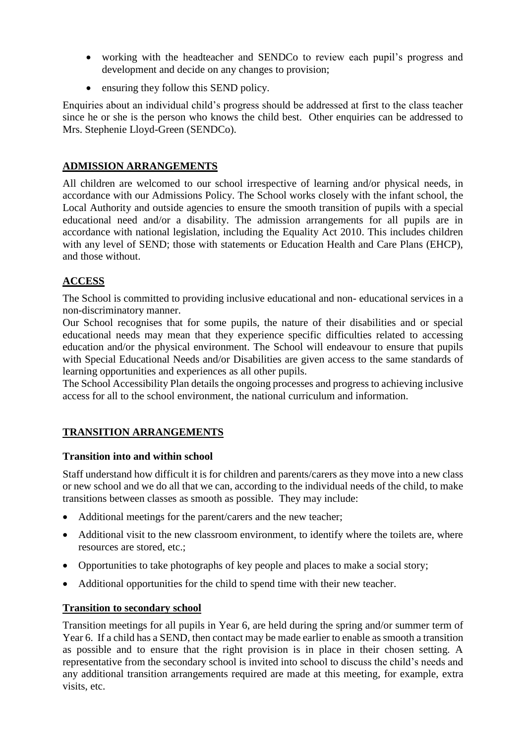- working with the headteacher and SENDCo to review each pupil's progress and development and decide on any changes to provision;
- ensuring they follow this SEND policy.

Enquiries about an individual child's progress should be addressed at first to the class teacher since he or she is the person who knows the child best. Other enquiries can be addressed to Mrs. Stephenie Lloyd-Green (SENDCo).

#### **ADMISSION ARRANGEMENTS**

All children are welcomed to our school irrespective of learning and/or physical needs, in accordance with our Admissions Policy. The School works closely with the infant school, the Local Authority and outside agencies to ensure the smooth transition of pupils with a special educational need and/or a disability. The admission arrangements for all pupils are in accordance with national legislation, including the Equality Act 2010. This includes children with any level of SEND; those with statements or Education Health and Care Plans (EHCP), and those without.

# **ACCESS**

The School is committed to providing inclusive educational and non- educational services in a non-discriminatory manner.

Our School recognises that for some pupils, the nature of their disabilities and or special educational needs may mean that they experience specific difficulties related to accessing education and/or the physical environment. The School will endeavour to ensure that pupils with Special Educational Needs and/or Disabilities are given access to the same standards of learning opportunities and experiences as all other pupils.

The School Accessibility Plan details the ongoing processes and progress to achieving inclusive access for all to the school environment, the national curriculum and information.

#### **TRANSITION ARRANGEMENTS**

#### **Transition into and within school**

Staff understand how difficult it is for children and parents/carers as they move into a new class or new school and we do all that we can, according to the individual needs of the child, to make transitions between classes as smooth as possible. They may include:

- Additional meetings for the parent/carers and the new teacher;
- Additional visit to the new classroom environment, to identify where the toilets are, where resources are stored, etc.;
- Opportunities to take photographs of key people and places to make a social story;
- Additional opportunities for the child to spend time with their new teacher.

#### **Transition to secondary school**

Transition meetings for all pupils in Year 6, are held during the spring and/or summer term of Year 6. If a child has a SEND, then contact may be made earlier to enable as smooth a transition as possible and to ensure that the right provision is in place in their chosen setting. A representative from the secondary school is invited into school to discuss the child's needs and any additional transition arrangements required are made at this meeting, for example, extra visits, etc.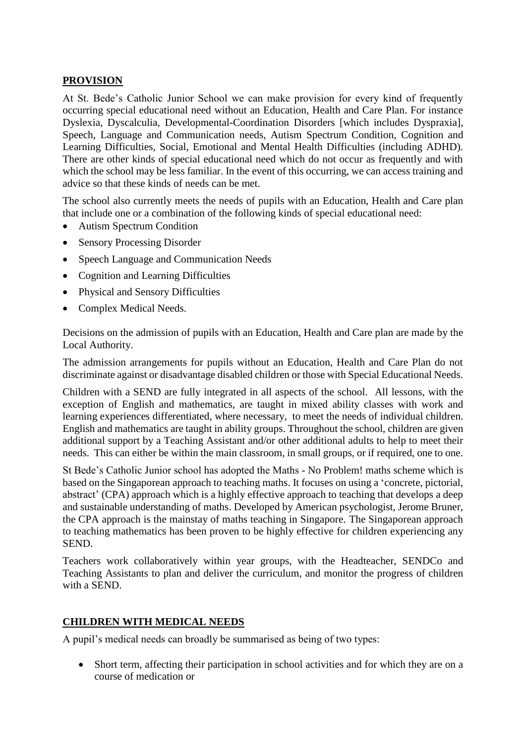# **PROVISION**

At St. Bede's Catholic Junior School we can make provision for every kind of frequently occurring special educational need without an Education, Health and Care Plan. For instance Dyslexia, Dyscalculia, Developmental-Coordination Disorders [which includes Dyspraxia], Speech, Language and Communication needs, Autism Spectrum Condition, Cognition and Learning Difficulties, Social, Emotional and Mental Health Difficulties (including ADHD). There are other kinds of special educational need which do not occur as frequently and with which the school may be less familiar. In the event of this occurring, we can access training and advice so that these kinds of needs can be met.

The school also currently meets the needs of pupils with an Education, Health and Care plan that include one or a combination of the following kinds of special educational need:

- Autism Spectrum Condition
- Sensory Processing Disorder
- Speech Language and Communication Needs
- Cognition and Learning Difficulties
- Physical and Sensory Difficulties
- Complex Medical Needs.

Decisions on the admission of pupils with an Education, Health and Care plan are made by the Local Authority.

The admission arrangements for pupils without an Education, Health and Care Plan do not discriminate against or disadvantage disabled children or those with Special Educational Needs.

Children with a SEND are fully integrated in all aspects of the school. All lessons, with the exception of English and mathematics, are taught in mixed ability classes with work and learning experiences differentiated, where necessary, to meet the needs of individual children. English and mathematics are taught in ability groups. Throughout the school, children are given additional support by a Teaching Assistant and/or other additional adults to help to meet their needs. This can either be within the main classroom, in small groups, or if required, one to one.

St Bede's Catholic Junior school has adopted the Maths - No Problem! maths scheme which is based on the Singaporean approach to teaching maths. It focuses on using a 'concrete, pictorial, abstract' (CPA) approach which is a highly effective approach to teaching that develops a deep and sustainable understanding of maths. Developed by American psychologist, Jerome Bruner, the CPA approach is the mainstay of maths teaching in Singapore. The Singaporean approach to teaching mathematics has been proven to be highly effective for children experiencing any SEND.

Teachers work collaboratively within year groups, with the Headteacher, SENDCo and Teaching Assistants to plan and deliver the curriculum, and monitor the progress of children with a SEND.

#### **CHILDREN WITH MEDICAL NEEDS**

A pupil's medical needs can broadly be summarised as being of two types:

• Short term, affecting their participation in school activities and for which they are on a course of medication or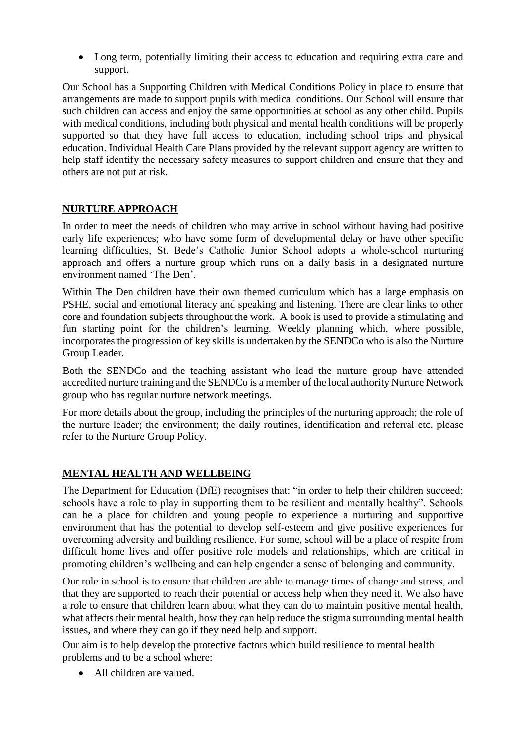• Long term, potentially limiting their access to education and requiring extra care and support.

Our School has a Supporting Children with Medical Conditions Policy in place to ensure that arrangements are made to support pupils with medical conditions. Our School will ensure that such children can access and enjoy the same opportunities at school as any other child. Pupils with medical conditions, including both physical and mental health conditions will be properly supported so that they have full access to education, including school trips and physical education. Individual Health Care Plans provided by the relevant support agency are written to help staff identify the necessary safety measures to support children and ensure that they and others are not put at risk.

# **NURTURE APPROACH**

In order to meet the needs of children who may arrive in school without having had positive early life experiences; who have some form of developmental delay or have other specific learning difficulties, St. Bede's Catholic Junior School adopts a whole-school nurturing approach and offers a nurture group which runs on a daily basis in a designated nurture environment named 'The Den'.

Within The Den children have their own themed curriculum which has a large emphasis on PSHE, social and emotional literacy and speaking and listening. There are clear links to other core and foundation subjects throughout the work. A book is used to provide a stimulating and fun starting point for the children's learning. Weekly planning which, where possible, incorporates the progression of key skills is undertaken by the SENDCo who is also the Nurture Group Leader.

Both the SENDCo and the teaching assistant who lead the nurture group have attended accredited nurture training and the SENDCo is a member of the local authority Nurture Network group who has regular nurture network meetings.

For more details about the group, including the principles of the nurturing approach; the role of the nurture leader; the environment; the daily routines, identification and referral etc. please refer to the Nurture Group Policy.

#### **MENTAL HEALTH AND WELLBEING**

The Department for Education (DfE) recognises that: "in order to help their children succeed; schools have a role to play in supporting them to be resilient and mentally healthy". Schools can be a place for children and young people to experience a nurturing and supportive environment that has the potential to develop self-esteem and give positive experiences for overcoming adversity and building resilience. For some, school will be a place of respite from difficult home lives and offer positive role models and relationships, which are critical in promoting children's wellbeing and can help engender a sense of belonging and community.

Our role in school is to ensure that children are able to manage times of change and stress, and that they are supported to reach their potential or access help when they need it. We also have a role to ensure that children learn about what they can do to maintain positive mental health, what affects their mental health, how they can help reduce the stigma surrounding mental health issues, and where they can go if they need help and support.

Our aim is to help develop the protective factors which build resilience to mental health problems and to be a school where:

• All children are valued.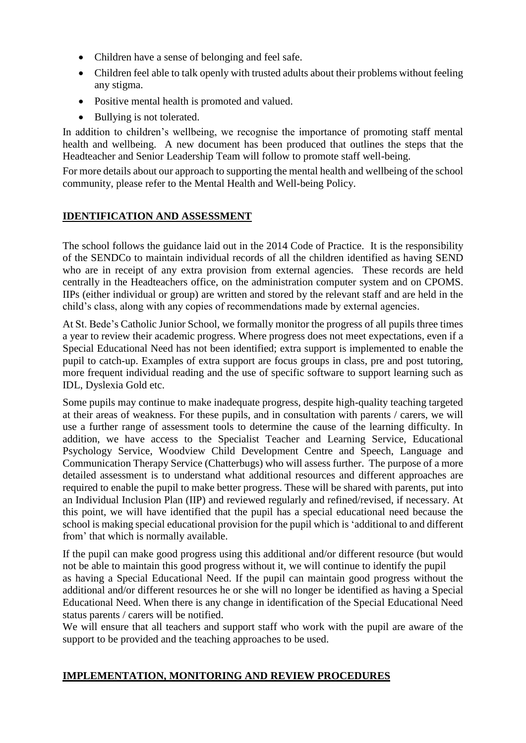- Children have a sense of belonging and feel safe.
- Children feel able to talk openly with trusted adults about their problems without feeling any stigma.
- Positive mental health is promoted and valued.
- Bullying is not tolerated.

In addition to children's wellbeing, we recognise the importance of promoting staff mental health and wellbeing. A new document has been produced that outlines the steps that the Headteacher and Senior Leadership Team will follow to promote staff well-being.

For more details about our approach to supporting the mental health and wellbeing of the school community, please refer to the Mental Health and Well-being Policy.

#### **IDENTIFICATION AND ASSESSMENT**

The school follows the guidance laid out in the 2014 Code of Practice. It is the responsibility of the SENDCo to maintain individual records of all the children identified as having SEND who are in receipt of any extra provision from external agencies. These records are held centrally in the Headteachers office, on the administration computer system and on CPOMS. IIPs (either individual or group) are written and stored by the relevant staff and are held in the child's class, along with any copies of recommendations made by external agencies.

At St. Bede's Catholic Junior School, we formally monitor the progress of all pupils three times a year to review their academic progress. Where progress does not meet expectations, even if a Special Educational Need has not been identified; extra support is implemented to enable the pupil to catch-up. Examples of extra support are focus groups in class, pre and post tutoring, more frequent individual reading and the use of specific software to support learning such as IDL, Dyslexia Gold etc.

Some pupils may continue to make inadequate progress, despite high-quality teaching targeted at their areas of weakness. For these pupils, and in consultation with parents / carers, we will use a further range of assessment tools to determine the cause of the learning difficulty. In addition, we have access to the Specialist Teacher and Learning Service, Educational Psychology Service, Woodview Child Development Centre and Speech, Language and Communication Therapy Service (Chatterbugs) who will assess further. The purpose of a more detailed assessment is to understand what additional resources and different approaches are required to enable the pupil to make better progress. These will be shared with parents, put into an Individual Inclusion Plan (IIP) and reviewed regularly and refined/revised, if necessary. At this point, we will have identified that the pupil has a special educational need because the school is making special educational provision for the pupil which is 'additional to and different from' that which is normally available.

If the pupil can make good progress using this additional and/or different resource (but would not be able to maintain this good progress without it, we will continue to identify the pupil as having a Special Educational Need. If the pupil can maintain good progress without the additional and/or different resources he or she will no longer be identified as having a Special Educational Need. When there is any change in identification of the Special Educational Need status parents / carers will be notified.

We will ensure that all teachers and support staff who work with the pupil are aware of the support to be provided and the teaching approaches to be used.

#### **IMPLEMENTATION, MONITORING AND REVIEW PROCEDURES**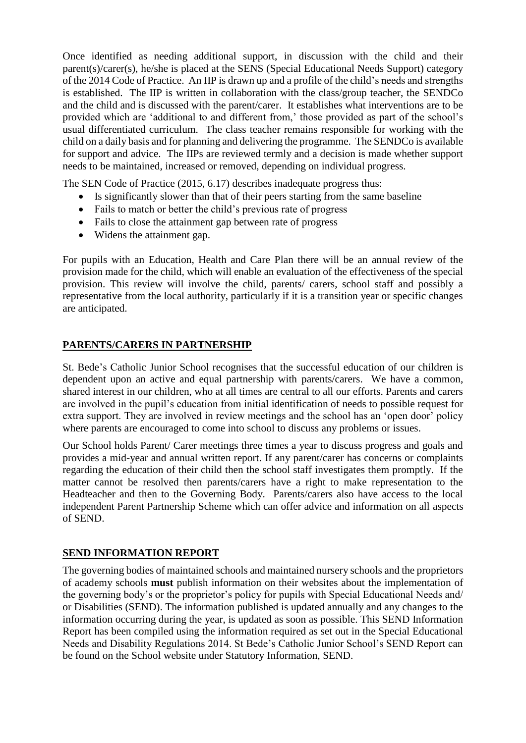Once identified as needing additional support, in discussion with the child and their parent(s)/carer(s), he/she is placed at the SENS (Special Educational Needs Support) category of the 2014 Code of Practice. An IIP is drawn up and a profile of the child's needs and strengths is established. The IIP is written in collaboration with the class/group teacher, the SENDCo and the child and is discussed with the parent/carer. It establishes what interventions are to be provided which are 'additional to and different from,' those provided as part of the school's usual differentiated curriculum. The class teacher remains responsible for working with the child on a daily basis and for planning and delivering the programme. The SENDCo is available for support and advice. The IIPs are reviewed termly and a decision is made whether support needs to be maintained, increased or removed, depending on individual progress.

The SEN Code of Practice (2015, 6.17) describes inadequate progress thus:

- Is significantly slower than that of their peers starting from the same baseline
- Fails to match or better the child's previous rate of progress
- Fails to close the attainment gap between rate of progress
- Widens the attainment gap.

For pupils with an Education, Health and Care Plan there will be an annual review of the provision made for the child, which will enable an evaluation of the effectiveness of the special provision. This review will involve the child, parents/ carers, school staff and possibly a representative from the local authority, particularly if it is a transition year or specific changes are anticipated.

#### **PARENTS/CARERS IN PARTNERSHIP**

St. Bede's Catholic Junior School recognises that the successful education of our children is dependent upon an active and equal partnership with parents/carers. We have a common, shared interest in our children, who at all times are central to all our efforts. Parents and carers are involved in the pupil's education from initial identification of needs to possible request for extra support. They are involved in review meetings and the school has an 'open door' policy where parents are encouraged to come into school to discuss any problems or issues.

Our School holds Parent/ Carer meetings three times a year to discuss progress and goals and provides a mid-year and annual written report. If any parent/carer has concerns or complaints regarding the education of their child then the school staff investigates them promptly. If the matter cannot be resolved then parents/carers have a right to make representation to the Headteacher and then to the Governing Body. Parents/carers also have access to the local independent Parent Partnership Scheme which can offer advice and information on all aspects of SEND.

#### **SEND INFORMATION REPORT**

The governing bodies of maintained schools and maintained nursery schools and the proprietors of academy schools **must** publish information on their websites about the implementation of the governing body's or the proprietor's policy for pupils with Special Educational Needs and/ or Disabilities (SEND). The information published is updated annually and any changes to the information occurring during the year, is updated as soon as possible. This SEND Information Report has been compiled using the information required as set out in the Special Educational Needs and Disability Regulations 2014. St Bede's Catholic Junior School's SEND Report can be found on the School website under Statutory Information, SEND.